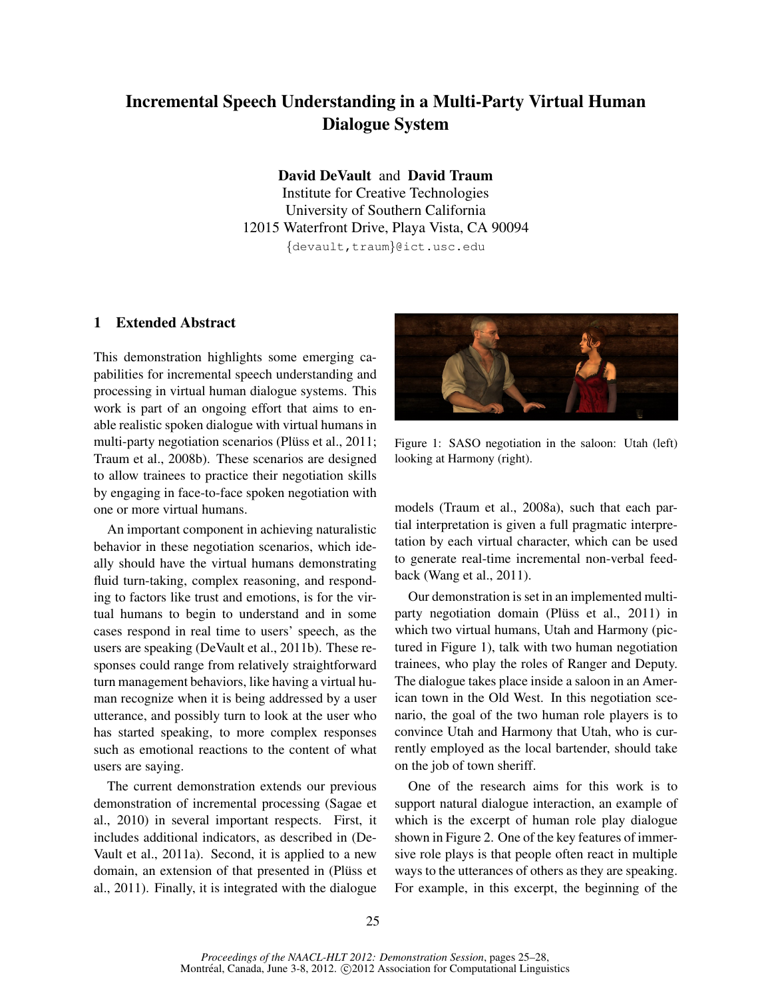# Incremental Speech Understanding in a Multi-Party Virtual Human Dialogue System

David DeVault and David Traum Institute for Creative Technologies University of Southern California 12015 Waterfront Drive, Playa Vista, CA 90094 {devault,traum}@ict.usc.edu

## 1 Extended Abstract

This demonstration highlights some emerging capabilities for incremental speech understanding and processing in virtual human dialogue systems. This work is part of an ongoing effort that aims to enable realistic spoken dialogue with virtual humans in multi-party negotiation scenarios (Pluss et al., 2011; Traum et al., 2008b). These scenarios are designed to allow trainees to practice their negotiation skills by engaging in face-to-face spoken negotiation with one or more virtual humans.

An important component in achieving naturalistic behavior in these negotiation scenarios, which ideally should have the virtual humans demonstrating fluid turn-taking, complex reasoning, and responding to factors like trust and emotions, is for the virtual humans to begin to understand and in some cases respond in real time to users' speech, as the users are speaking (DeVault et al., 2011b). These responses could range from relatively straightforward turn management behaviors, like having a virtual human recognize when it is being addressed by a user utterance, and possibly turn to look at the user who has started speaking, to more complex responses such as emotional reactions to the content of what users are saying.

The current demonstration extends our previous demonstration of incremental processing (Sagae et al., 2010) in several important respects. First, it includes additional indicators, as described in (De-Vault et al., 2011a). Second, it is applied to a new domain, an extension of that presented in (Plüss et al., 2011). Finally, it is integrated with the dialogue



Figure 1: SASO negotiation in the saloon: Utah (left) looking at Harmony (right).

models (Traum et al., 2008a), such that each partial interpretation is given a full pragmatic interpretation by each virtual character, which can be used to generate real-time incremental non-verbal feedback (Wang et al., 2011).

Our demonstration is set in an implemented multiparty negotiation domain (Plüss et al., 2011) in which two virtual humans, Utah and Harmony (pictured in Figure 1), talk with two human negotiation trainees, who play the roles of Ranger and Deputy. The dialogue takes place inside a saloon in an American town in the Old West. In this negotiation scenario, the goal of the two human role players is to convince Utah and Harmony that Utah, who is currently employed as the local bartender, should take on the job of town sheriff.

One of the research aims for this work is to support natural dialogue interaction, an example of which is the excerpt of human role play dialogue shown in Figure 2. One of the key features of immersive role plays is that people often react in multiple ways to the utterances of others as they are speaking. For example, in this excerpt, the beginning of the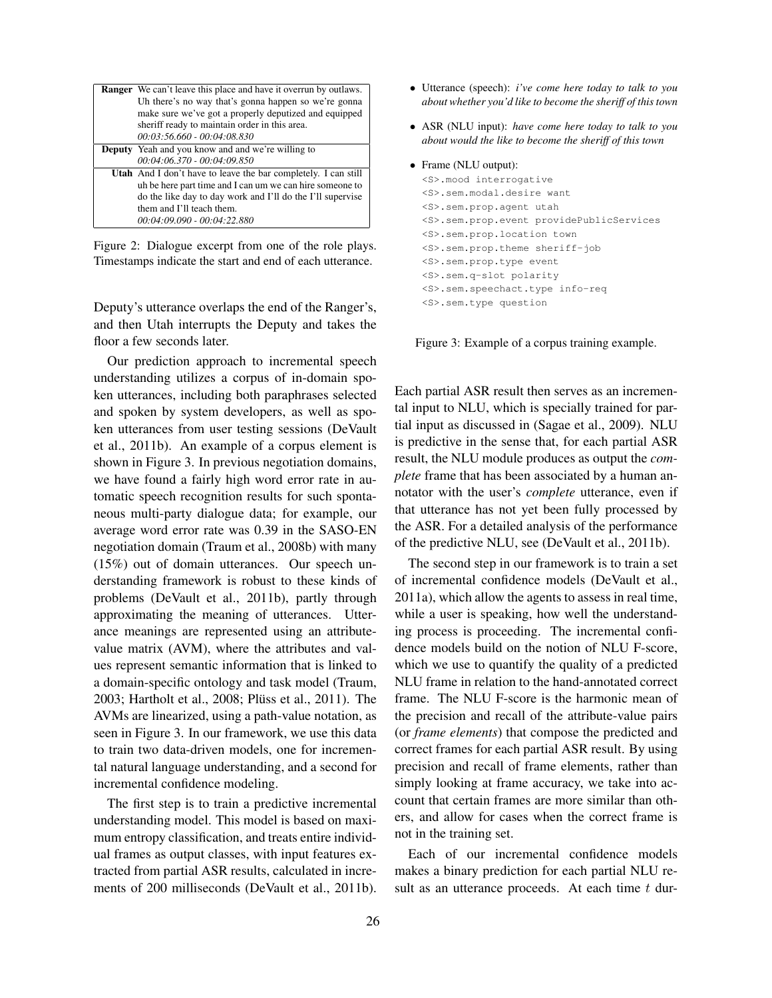| <b>Ranger</b> We can't leave this place and have it overrun by outlaws. |
|-------------------------------------------------------------------------|
| Uh there's no way that's gonna happen so we're gonna                    |
| make sure we've got a properly deputized and equipped                   |
| sheriff ready to maintain order in this area.                           |
| $00:03:56.660 - 00:04:08.830$                                           |
| <b>Deputy</b> Yeah and you know and and we're willing to                |
| $00:04:06.370 - 00:04:09.850$                                           |
| <b>Utah</b> And I don't have to leave the bar completely. I can still   |
| uh be here part time and I can um we can hire someone to                |
| do the like day to day work and I'll do the I'll supervise              |
| them and I'll teach them.                                               |
| 00:04:09.090 - 00:04:22.880                                             |

Figure 2: Dialogue excerpt from one of the role plays. Timestamps indicate the start and end of each utterance.

Deputy's utterance overlaps the end of the Ranger's, and then Utah interrupts the Deputy and takes the floor a few seconds later.

Our prediction approach to incremental speech understanding utilizes a corpus of in-domain spoken utterances, including both paraphrases selected and spoken by system developers, as well as spoken utterances from user testing sessions (DeVault et al., 2011b). An example of a corpus element is shown in Figure 3. In previous negotiation domains, we have found a fairly high word error rate in automatic speech recognition results for such spontaneous multi-party dialogue data; for example, our average word error rate was 0.39 in the SASO-EN negotiation domain (Traum et al., 2008b) with many (15%) out of domain utterances. Our speech understanding framework is robust to these kinds of problems (DeVault et al., 2011b), partly through approximating the meaning of utterances. Utterance meanings are represented using an attributevalue matrix (AVM), where the attributes and values represent semantic information that is linked to a domain-specific ontology and task model (Traum, 2003; Hartholt et al., 2008; Plüss et al., 2011). The AVMs are linearized, using a path-value notation, as seen in Figure 3. In our framework, we use this data to train two data-driven models, one for incremental natural language understanding, and a second for incremental confidence modeling.

The first step is to train a predictive incremental understanding model. This model is based on maximum entropy classification, and treats entire individual frames as output classes, with input features extracted from partial ASR results, calculated in increments of 200 milliseconds (DeVault et al., 2011b).

- Utterance (speech): *i've come here today to talk to you about whether you'd like to become the sheriff of this town*
- ASR (NLU input): *have come here today to talk to you about would the like to become the sheriff of this town*
- Frame (NLU output):

```
<S>.mood interrogative
<S>.sem.modal.desire want
<S>.sem.prop.agent utah
<S>.sem.prop.event providePublicServices
<S>.sem.prop.location town
<S>.sem.prop.theme sheriff-job
<S>.sem.prop.type event
<S>.sem.q-slot polarity
<S>.sem.speechact.type info-req
<S>.sem.type question
```
Figure 3: Example of a corpus training example.

Each partial ASR result then serves as an incremental input to NLU, which is specially trained for partial input as discussed in (Sagae et al., 2009). NLU is predictive in the sense that, for each partial ASR result, the NLU module produces as output the *complete* frame that has been associated by a human annotator with the user's *complete* utterance, even if that utterance has not yet been fully processed by the ASR. For a detailed analysis of the performance of the predictive NLU, see (DeVault et al., 2011b).

The second step in our framework is to train a set of incremental confidence models (DeVault et al., 2011a), which allow the agents to assess in real time, while a user is speaking, how well the understanding process is proceeding. The incremental confidence models build on the notion of NLU F-score, which we use to quantify the quality of a predicted NLU frame in relation to the hand-annotated correct frame. The NLU F-score is the harmonic mean of the precision and recall of the attribute-value pairs (or *frame elements*) that compose the predicted and correct frames for each partial ASR result. By using precision and recall of frame elements, rather than simply looking at frame accuracy, we take into account that certain frames are more similar than others, and allow for cases when the correct frame is not in the training set.

Each of our incremental confidence models makes a binary prediction for each partial NLU result as an utterance proceeds. At each time  $t$  dur-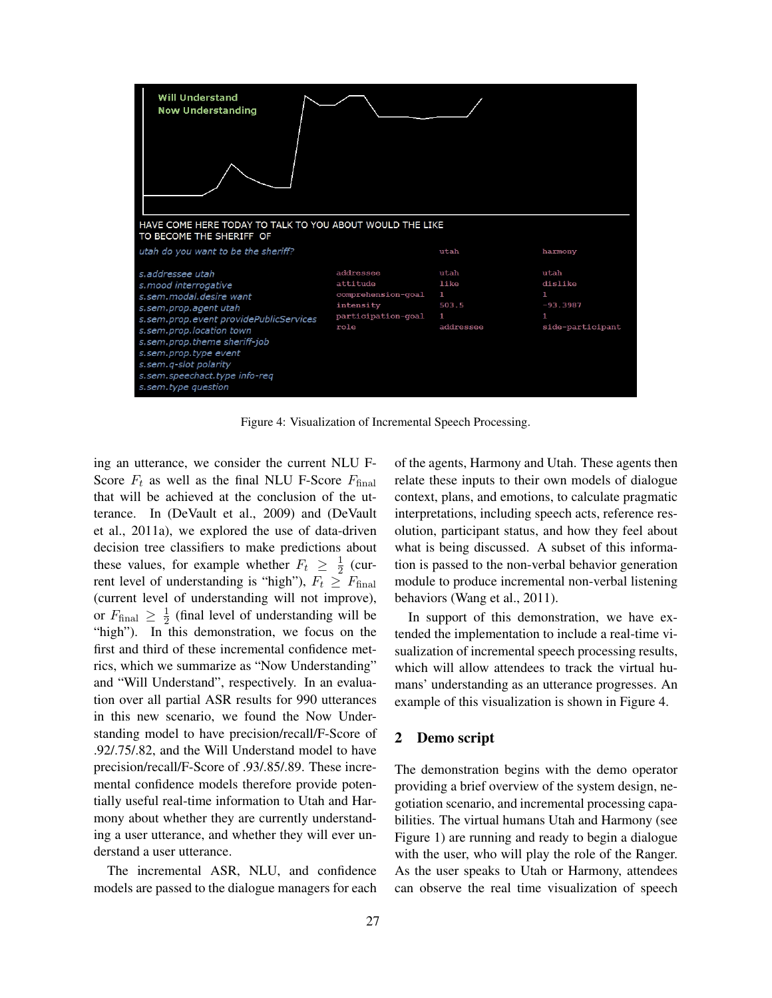

Figure 4: Visualization of Incremental Speech Processing.

ing an utterance, we consider the current NLU F-Score  $F_t$  as well as the final NLU F-Score  $F_{\text{final}}$ that will be achieved at the conclusion of the utterance. In (DeVault et al., 2009) and (DeVault et al., 2011a), we explored the use of data-driven decision tree classifiers to make predictions about these values, for example whether  $F_t \geq \frac{1}{2}$  (current level of understanding is "high"),  $F_t \geq F_{\text{final}}$ (current level of understanding will not improve), or  $F_{\text{final}} \geq \frac{1}{2}$  (final level of understanding will be "high"). In this demonstration, we focus on the first and third of these incremental confidence metrics, which we summarize as "Now Understanding" and "Will Understand", respectively. In an evaluation over all partial ASR results for 990 utterances in this new scenario, we found the Now Understanding model to have precision/recall/F-Score of .92/.75/.82, and the Will Understand model to have precision/recall/F-Score of .93/.85/.89. These incremental confidence models therefore provide potentially useful real-time information to Utah and Harmony about whether they are currently understanding a user utterance, and whether they will ever understand a user utterance.

The incremental ASR, NLU, and confidence models are passed to the dialogue managers for each of the agents, Harmony and Utah. These agents then relate these inputs to their own models of dialogue context, plans, and emotions, to calculate pragmatic interpretations, including speech acts, reference resolution, participant status, and how they feel about what is being discussed. A subset of this information is passed to the non-verbal behavior generation module to produce incremental non-verbal listening behaviors (Wang et al., 2011).

In support of this demonstration, we have extended the implementation to include a real-time visualization of incremental speech processing results, which will allow attendees to track the virtual humans' understanding as an utterance progresses. An example of this visualization is shown in Figure 4.

#### 2 Demo script

The demonstration begins with the demo operator providing a brief overview of the system design, negotiation scenario, and incremental processing capabilities. The virtual humans Utah and Harmony (see Figure 1) are running and ready to begin a dialogue with the user, who will play the role of the Ranger. As the user speaks to Utah or Harmony, attendees can observe the real time visualization of speech